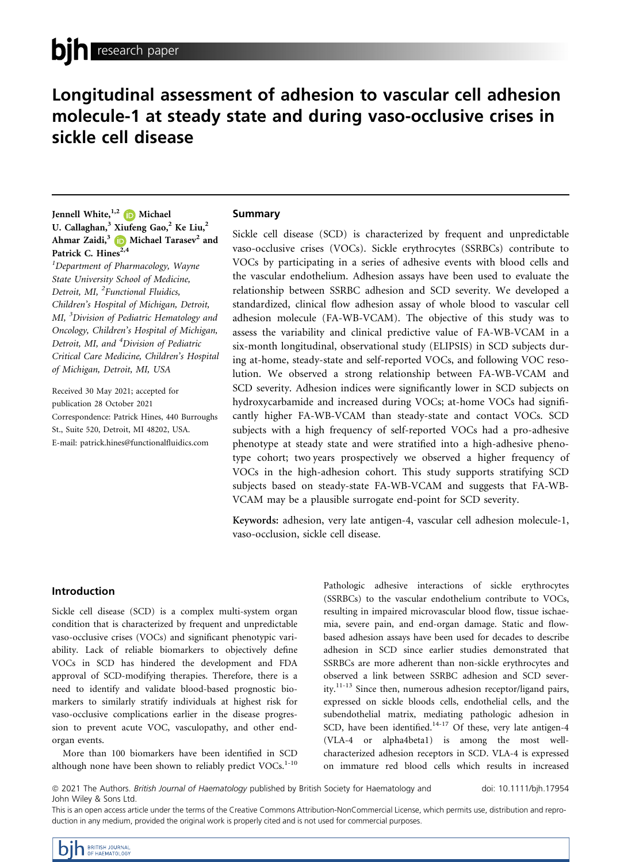# Longitudinal assessment of adhesion to vascular cell adhesion molecule-1 at steady state and during vaso-occlusive crises in sickle cell disease

Jennell White, $^{1,2}$  (D Michael U. Callaghan,<sup>3</sup> Xiufeng Gao,<sup>2</sup> Ke Liu,<sup>2</sup> Ahmar Zaidi,<sup>[3](https://orcid.org/0000-0003-4551-661X)</sup>  $\Box$  Michael Tarasev<sup>2</sup> and Patrick C. Hines<sup>2,4</sup>

<sup>1</sup>Department of Pharmacology, Wayne State University School of Medicine, Detroit, MI, <sup>2</sup>Functional Fluidics, Children's Hospital of Michigan, Detroit, MI, <sup>3</sup>Division of Pediatric Hematology and Oncology, Children's Hospital of Michigan, Detroit, MI, and <sup>4</sup>Division of Pediatric Critical Care Medicine, Children's Hospital of Michigan, Detroit, MI, USA

Received 30 May 2021; accepted for publication 28 October 2021 Correspondence: Patrick Hines, 440 Burroughs St., Suite 520, Detroit, MI 48202, USA. E-mail: [patrick.hines@functionalfluidics.com](mailto:)

## Summary

Sickle cell disease (SCD) is characterized by frequent and unpredictable vaso-occlusive crises (VOCs). Sickle erythrocytes (SSRBCs) contribute to VOCs by participating in a series of adhesive events with blood cells and the vascular endothelium. Adhesion assays have been used to evaluate the relationship between SSRBC adhesion and SCD severity. We developed a standardized, clinical flow adhesion assay of whole blood to vascular cell adhesion molecule (FA-WB-VCAM). The objective of this study was to assess the variability and clinical predictive value of FA-WB-VCAM in a six-month longitudinal, observational study (ELIPSIS) in SCD subjects during at-home, steady-state and self-reported VOCs, and following VOC resolution. We observed a strong relationship between FA-WB-VCAM and SCD severity. Adhesion indices were significantly lower in SCD subjects on hydroxycarbamide and increased during VOCs; at-home VOCs had significantly higher FA-WB-VCAM than steady-state and contact VOCs. SCD subjects with a high frequency of self-reported VOCs had a pro-adhesive phenotype at steady state and were stratified into a high-adhesive phenotype cohort; two years prospectively we observed a higher frequency of VOCs in the high-adhesion cohort. This study supports stratifying SCD subjects based on steady-state FA-WB-VCAM and suggests that FA-WB-VCAM may be a plausible surrogate end-point for SCD severity.

Keywords: adhesion, very late antigen-4, vascular cell adhesion molecule-1, vaso-occlusion, sickle cell disease.

## Introduction

Sickle cell disease (SCD) is a complex multi-system organ condition that is characterized by frequent and unpredictable vaso-occlusive crises (VOCs) and significant phenotypic variability. Lack of reliable biomarkers to objectively define VOCs in SCD has hindered the development and FDA approval of SCD-modifying therapies. Therefore, there is a need to identify and validate blood-based prognostic biomarkers to similarly stratify individuals at highest risk for vaso-occlusive complications earlier in the disease progression to prevent acute VOC, vasculopathy, and other endorgan events.

More than 100 biomarkers have been identified in SCD although none have been shown to reliably predict  $VOCs$ .<sup>1-10</sup> Pathologic adhesive interactions of sickle erythrocytes (SSRBCs) to the vascular endothelium contribute to VOCs, resulting in impaired microvascular blood flow, tissue ischaemia, severe pain, and end-organ damage. Static and flowbased adhesion assays have been used for decades to describe adhesion in SCD since earlier studies demonstrated that SSRBCs are more adherent than non-sickle erythrocytes and observed a link between SSRBC adhesion and SCD severity.11-13 Since then, numerous adhesion receptor/ligand pairs, expressed on sickle bloods cells, endothelial cells, and the subendothelial matrix, mediating pathologic adhesion in SCD, have been identified.<sup>14-17</sup> Of these, very late antigen-4 (VLA-4 or alpha4beta1) is among the most wellcharacterized adhesion receptors in SCD. VLA-4 is expressed on immature red blood cells which results in increased

<sup>ª</sup> 2021 The Authors. British Journal of Haematology published by British Society for Haematology and John Wiley & Sons Ltd.

doi: 10.1111/bjh.17954

This is an open access article under the terms of the [Creative Commons Attribution-NonCommercial](http://creativecommons.org/licenses/by-nc/4.0/) License, which permits use, distribution and reproduction in any medium, provided the original work is properly cited and is not used for commercial purposes.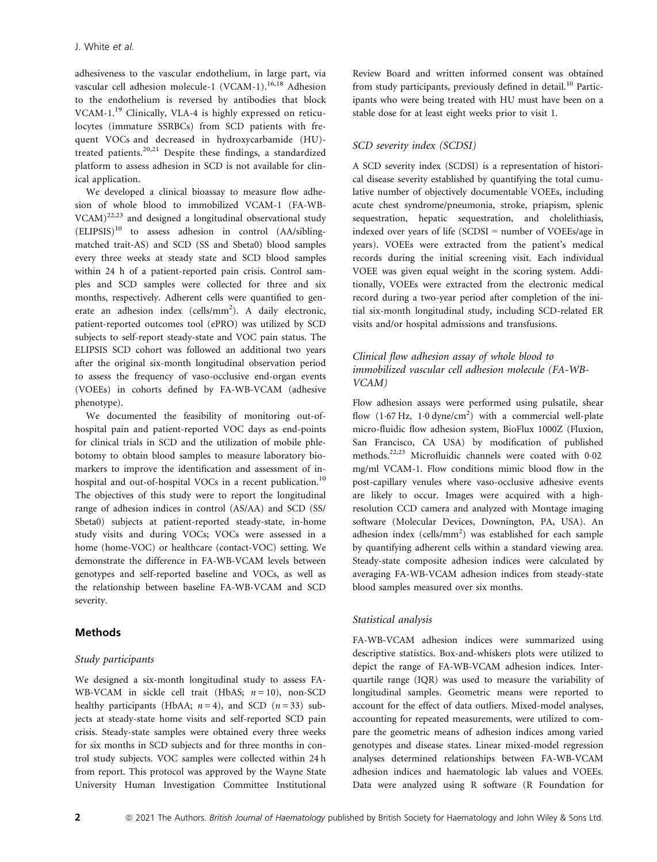adhesiveness to the vascular endothelium, in large part, via vascular cell adhesion molecule-1 (VCAM-1).<sup>16,18</sup> Adhesion to the endothelium is reversed by antibodies that block VCAM-1.<sup>19</sup> Clinically, VLA-4 is highly expressed on reticulocytes (immature SSRBCs) from SCD patients with frequent VOCs and decreased in hydroxycarbamide (HU) treated patients.20,21 Despite these findings, a standardized platform to assess adhesion in SCD is not available for clinical application.

We developed a clinical bioassay to measure flow adhesion of whole blood to immobilized VCAM-1 (FA-WB- $VCAM)^{22,23}$  and designed a longitudinal observational study  $(ELIPSIS)^{10}$  to assess adhesion in control  $(AA/sibling$ matched trait-AS) and SCD (SS and Sbeta0) blood samples every three weeks at steady state and SCD blood samples within 24 h of a patient-reported pain crisis. Control samples and SCD samples were collected for three and six months, respectively. Adherent cells were quantified to generate an adhesion index (cells/mm<sup>2</sup>). A daily electronic, patient-reported outcomes tool (ePRO) was utilized by SCD subjects to self-report steady-state and VOC pain status. The ELIPSIS SCD cohort was followed an additional two years after the original six-month longitudinal observation period to assess the frequency of vaso-occlusive end-organ events (VOEEs) in cohorts defined by FA-WB-VCAM (adhesive phenotype).

We documented the feasibility of monitoring out-ofhospital pain and patient-reported VOC days as end-points for clinical trials in SCD and the utilization of mobile phlebotomy to obtain blood samples to measure laboratory biomarkers to improve the identification and assessment of inhospital and out-of-hospital VOCs in a recent publication.<sup>10</sup> The objectives of this study were to report the longitudinal range of adhesion indices in control (AS/AA) and SCD (SS/ Sbeta0) subjects at patient-reported steady-state, in-home study visits and during VOCs; VOCs were assessed in a home (home-VOC) or healthcare (contact-VOC) setting. We demonstrate the difference in FA-WB-VCAM levels between genotypes and self-reported baseline and VOCs, as well as the relationship between baseline FA-WB-VCAM and SCD severity.

## Methods

## Study participants

We designed a six-month longitudinal study to assess FA-WB-VCAM in sickle cell trait (HbAS;  $n = 10$ ), non-SCD healthy participants (HbAA;  $n = 4$ ), and SCD ( $n = 33$ ) subjects at steady-state home visits and self-reported SCD pain crisis. Steady-state samples were obtained every three weeks for six months in SCD subjects and for three months in control study subjects. VOC samples were collected within 24 h from report. This protocol was approved by the Wayne State University Human Investigation Committee Institutional Review Board and written informed consent was obtained from study participants, previously defined in detail.<sup>10</sup> Participants who were being treated with HU must have been on a stable dose for at least eight weeks prior to visit 1.

## SCD severity index (SCDSI)

A SCD severity index (SCDSI) is a representation of historical disease severity established by quantifying the total cumulative number of objectively documentable VOEEs, including acute chest syndrome/pneumonia, stroke, priapism, splenic sequestration, hepatic sequestration, and cholelithiasis, indexed over years of life (SCDSI = number of VOEEs/age in years). VOEEs were extracted from the patient's medical records during the initial screening visit. Each individual VOEE was given equal weight in the scoring system. Additionally, VOEEs were extracted from the electronic medical record during a two-year period after completion of the initial six-month longitudinal study, including SCD-related ER visits and/or hospital admissions and transfusions.

## Clinical flow adhesion assay of whole blood to immobilized vascular cell adhesion molecule (FA-WB-VCAM)

Flow adhesion assays were performed using pulsatile, shear flow  $(1.67 \text{ Hz}, 1.0 \text{ dyne/cm}^2)$  with a commercial well-plate micro-fluidic flow adhesion system, BioFlux 1000Z (Fluxion, San Francisco, CA USA) by modification of published methods.<sup>22,23</sup> Microfluidic channels were coated with 0.02 mg/ml VCAM-1. Flow conditions mimic blood flow in the post-capillary venules where vaso-occlusive adhesive events are likely to occur. Images were acquired with a highresolution CCD camera and analyzed with Montage imaging software (Molecular Devices, Downington, PA, USA). An adhesion index (cells/mm<sup>2</sup>) was established for each sample by quantifying adherent cells within a standard viewing area. Steady-state composite adhesion indices were calculated by averaging FA-WB-VCAM adhesion indices from steady-state blood samples measured over six months.

## Statistical analysis

FA-WB-VCAM adhesion indices were summarized using descriptive statistics. Box-and-whiskers plots were utilized to depict the range of FA-WB-VCAM adhesion indices. Interquartile range (IQR) was used to measure the variability of longitudinal samples. Geometric means were reported to account for the effect of data outliers. Mixed-model analyses, accounting for repeated measurements, were utilized to compare the geometric means of adhesion indices among varied genotypes and disease states. Linear mixed-model regression analyses determined relationships between FA-WB-VCAM adhesion indices and haematologic lab values and VOEEs. Data were analyzed using R software (R Foundation for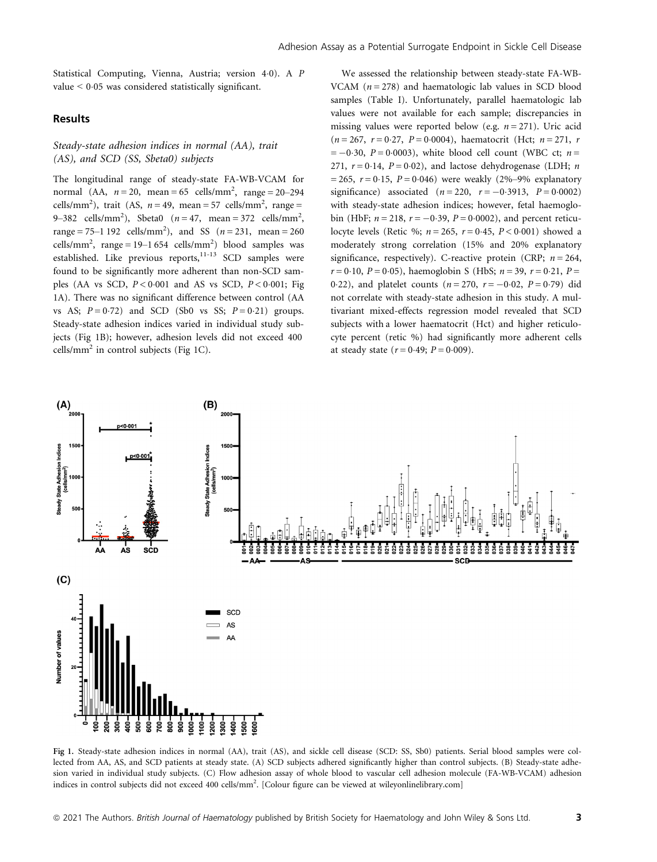Statistical Computing, Vienna, Austria; version 40). A P value  $\leq 0.05$  was considered statistically significant.

## Results

## Steady-state adhesion indices in normal (AA), trait (AS), and SCD (SS, Sbeta0) subjects

The longitudinal range of steady-state FA-WB-VCAM for normal (AA,  $n = 20$ , mean = 65 cells/mm<sup>2</sup>, range = 20–294 cells/mm<sup>2</sup>), trait (AS,  $n = 49$ , mean = 57 cells/mm<sup>2</sup>, range = 9–382 cells/mm<sup>2</sup>), Sbeta0 (*n* = 47, mean = 372 cells/mm<sup>2</sup>, range = 75–1 192 cells/mm<sup>2</sup>), and SS  $(n = 231, \text{ mean} = 260$ cells/mm<sup>2</sup>, range = 19–1 654 cells/mm<sup>2</sup>) blood samples was established. Like previous reports, $11-13$  SCD samples were found to be significantly more adherent than non-SCD samples (AA vs SCD,  $P < 0.001$  and AS vs SCD,  $P < 0.001$ ; Fig 1A). There was no significant difference between control (AA vs AS;  $P = 0.72$ ) and SCD (Sb0 vs SS;  $P = 0.21$ ) groups. Steady-state adhesion indices varied in individual study subjects (Fig 1B); however, adhesion levels did not exceed 400 cells/ $mm<sup>2</sup>$  in control subjects (Fig 1C).

We assessed the relationship between steady-state FA-WB-VCAM  $(n = 278)$  and haematologic lab values in SCD blood samples (Table I). Unfortunately, parallel haematologic lab values were not available for each sample; discrepancies in missing values were reported below (e.g.  $n = 271$ ). Uric acid  $(n = 267, r = 0.27, P = 0.0004)$ , haematocrit (Hct;  $n = 271, r$  $= -0.30$ ,  $P = 0.0003$ ), white blood cell count (WBC ct;  $n =$ 271,  $r = 0.14$ ,  $P = 0.02$ ), and lactose dehydrogenase (LDH; *n*  $= 265$ ,  $r = 0.15$ ,  $P = 0.046$ ) were weakly (2%–9% explanatory significance) associated  $(n = 220, r = -0.3913, P = 0.0002)$ with steady-state adhesion indices; however, fetal haemoglobin (HbF;  $n = 218$ ,  $r = -0.39$ ,  $P = 0.0002$ ), and percent reticulocyte levels (Retic %;  $n = 265$ ,  $r = 0.45$ ,  $P < 0.001$ ) showed a moderately strong correlation (15% and 20% explanatory significance, respectively). C-reactive protein (CRP;  $n = 264$ ,  $r = 0.10$ ,  $P = 0.05$ ), haemoglobin S (HbS;  $n = 39$ ,  $r = 0.21$ ,  $P =$ 0.22), and platelet counts  $(n = 270, r = -0.02, P = 0.79)$  did not correlate with steady-state adhesion in this study. A multivariant mixed-effects regression model revealed that SCD subjects with a lower haematocrit (Hct) and higher reticulocyte percent (retic %) had significantly more adherent cells at steady state  $(r = 0.49; P = 0.009)$ .



Fig 1. Steady-state adhesion indices in normal (AA), trait (AS), and sickle cell disease (SCD: SS, Sb0) patients. Serial blood samples were collected from AA, AS, and SCD patients at steady state. (A) SCD subjects adhered significantly higher than control subjects. (B) Steady-state adhesion varied in individual study subjects. (C) Flow adhesion assay of whole blood to vascular cell adhesion molecule (FA-WB-VCAM) adhesion indices in control subjects did not exceed 400 cells/mm<sup>2</sup>. [Colour figure can be viewed at [wileyonlinelibrary.com](www.wileyonlinelibrary.com)]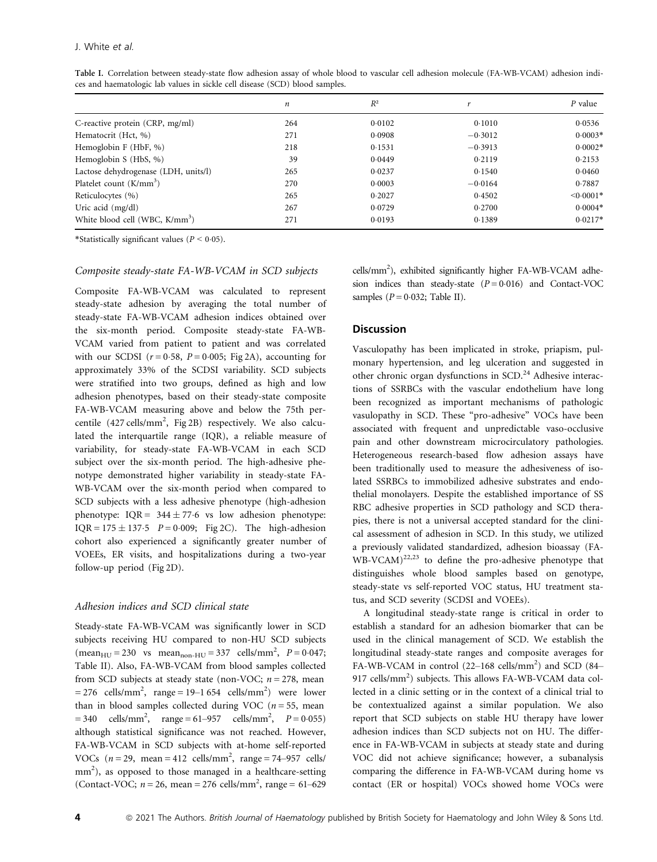|                                            | п   | $R^2$  |           | P value        |
|--------------------------------------------|-----|--------|-----------|----------------|
| C-reactive protein (CRP, mg/ml)            | 264 | 0.0102 | 0.1010    | 0.0536         |
| Hematocrit (Hct, %)                        | 271 | 0.0908 | $-0.3012$ | $0.0003*$      |
| Hemoglobin F (HbF, %)                      | 218 | 0.1531 | $-0.3913$ | $0.0002*$      |
| Hemoglobin S (HbS, %)                      | 39  | 0.0449 | 0.2119    | 0.2153         |
| Lactose dehydrogenase (LDH, units/l)       | 265 | 0.0237 | 0.1540    | 0.0460         |
| Platelet count $(K/mm^3)$                  | 270 | 0.0003 | $-0.0164$ | 0.7887         |
| Reticulocytes (%)                          | 265 | 0.2027 | 0.4502    | $\leq 0.0001*$ |
| Uric acid (mg/dl)                          | 267 | 0.0729 | 0.2700    | $0.0004*$      |
| White blood cell (WBC, K/mm <sup>3</sup> ) | 271 | 0.0193 | 0.1389    | $0.0217*$      |

Table I. Correlation between steady-state flow adhesion assay of whole blood to vascular cell adhesion molecule (FA-WB-VCAM) adhesion indices and haematologic lab values in sickle cell disease (SCD) blood samples.

\*Statistically significant values ( $P < 0.05$ ).

#### Composite steady-state FA-WB-VCAM in SCD subjects

Composite FA-WB-VCAM was calculated to represent steady-state adhesion by averaging the total number of steady-state FA-WB-VCAM adhesion indices obtained over the six-month period. Composite steady-state FA-WB-VCAM varied from patient to patient and was correlated with our SCDSI  $(r = 0.58, P = 0.005; Fig 2A)$ , accounting for approximately 33% of the SCDSI variability. SCD subjects were stratified into two groups, defined as high and low adhesion phenotypes, based on their steady-state composite FA-WB-VCAM measuring above and below the 75th percentile (427 cells/mm<sup>2</sup>, Fig 2B) respectively. We also calculated the interquartile range (IQR), a reliable measure of variability, for steady-state FA-WB-VCAM in each SCD subject over the six-month period. The high-adhesive phenotype demonstrated higher variability in steady-state FA-WB-VCAM over the six-month period when compared to SCD subjects with a less adhesive phenotype (high-adhesion phenotype:  $IQR = 344 \pm 77.6$  vs low adhesion phenotype: IQR =  $175 \pm 137.5$   $P = 0.009$ ; Fig 2C). The high-adhesion cohort also experienced a significantly greater number of VOEEs, ER visits, and hospitalizations during a two-year follow-up period (Fig 2D).

## Adhesion indices and SCD clinical state

Steady-state FA-WB-VCAM was significantly lower in SCD subjects receiving HU compared to non-HU SCD subjects  $(\text{mean}_{HU} = 230 \text{ vs } \text{mean}_{non-HU} = 337 \text{ cells/mm}^2, P = 0.047;$ Table II). Also, FA-WB-VCAM from blood samples collected from SCD subjects at steady state (non-VOC;  $n = 278$ , mean  $= 276$  cells/mm<sup>2</sup>, range  $= 19 - 1654$  cells/mm<sup>2</sup>) were lower than in blood samples collected during VOC ( $n = 55$ , mean  $= 340$  cells/mm<sup>2</sup>, range  $= 61 - 957$  cells/mm<sup>2</sup>,  $P = 0.055$ ) although statistical significance was not reached. However, FA-WB-VCAM in SCD subjects with at-home self-reported VOCs  $(n=29, \text{ mean} = 412 \text{ cells/mm}^2, \text{ range} = 74-957 \text{ cells}$ mm<sup>2</sup>), as opposed to those managed in a healthcare-setting (Contact-VOC;  $n = 26$ , mean = 276 cells/mm<sup>2</sup>, range = 61–629

cells/mm<sup>2</sup>), exhibited significantly higher FA-WB-VCAM adhesion indices than steady-state  $(P = 0.016)$  and Contact-VOC samples  $(P = 0.032$ ; Table II).

## **Discussion**

Vasculopathy has been implicated in stroke, priapism, pulmonary hypertension, and leg ulceration and suggested in other chronic organ dysfunctions in SCD.<sup>24</sup> Adhesive interactions of SSRBCs with the vascular endothelium have long been recognized as important mechanisms of pathologic vasulopathy in SCD. These "pro-adhesive" VOCs have been associated with frequent and unpredictable vaso-occlusive pain and other downstream microcirculatory pathologies. Heterogeneous research-based flow adhesion assays have been traditionally used to measure the adhesiveness of isolated SSRBCs to immobilized adhesive substrates and endothelial monolayers. Despite the established importance of SS RBC adhesive properties in SCD pathology and SCD therapies, there is not a universal accepted standard for the clinical assessment of adhesion in SCD. In this study, we utilized a previously validated standardized, adhesion bioassay (FA- $WB-VCAM)^{22,23}$  to define the pro-adhesive phenotype that distinguishes whole blood samples based on genotype, steady-state vs self-reported VOC status, HU treatment status, and SCD severity (SCDSI and VOEEs).

A longitudinal steady-state range is critical in order to establish a standard for an adhesion biomarker that can be used in the clinical management of SCD. We establish the longitudinal steady-state ranges and composite averages for FA-WB-VCAM in control (22-168 cells/mm<sup>2</sup>) and SCD (84-917 cells/mm<sup>2</sup>) subjects. This allows FA-WB-VCAM data collected in a clinic setting or in the context of a clinical trial to be contextualized against a similar population. We also report that SCD subjects on stable HU therapy have lower adhesion indices than SCD subjects not on HU. The difference in FA-WB-VCAM in subjects at steady state and during VOC did not achieve significance; however, a subanalysis comparing the difference in FA-WB-VCAM during home vs contact (ER or hospital) VOCs showed home VOCs were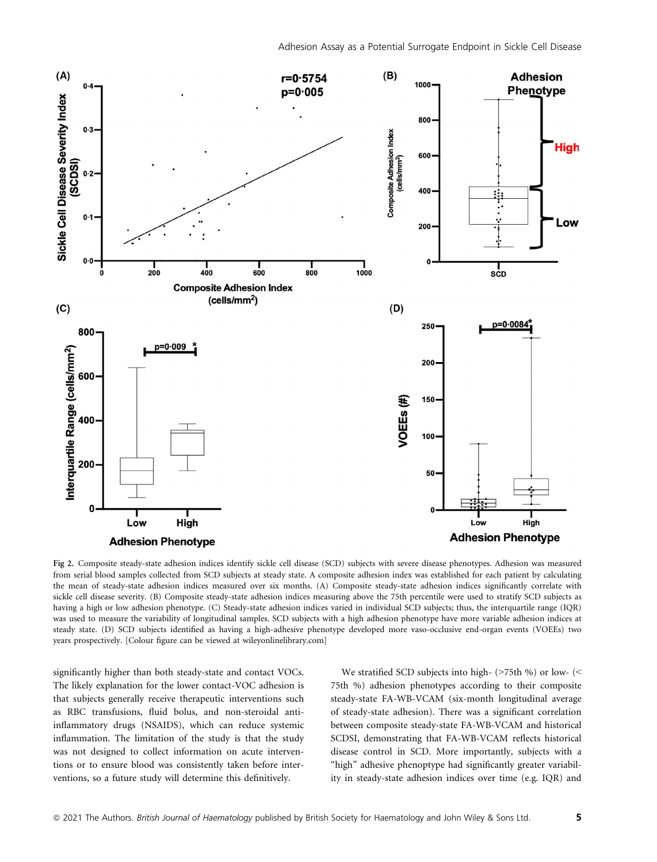

Fig 2. Composite steady-state adhesion indices identify sickle cell disease (SCD) subjects with severe disease phenotypes. Adhesion was measured from serial blood samples collected from SCD subjects at steady state. A composite adhesion index was established for each patient by calculating the mean of steady-state adhesion indices measured over six months. (A) Composite steady-state adhesion indices significantly correlate with sickle cell disease severity. (B) Composite steady-state adhesion indices measuring above the 75th percentile were used to stratify SCD subjects as having a high or low adhesion phenotype. (C) Steady-state adhesion indices varied in individual SCD subjects; thus, the interquartile range (IQR) was used to measure the variability of longitudinal samples. SCD subjects with a high adhesion phenotype have more variable adhesion indices at steady state. (D) SCD subjects identified as having a high-adhesive phenotype developed more vaso-occlusive end-organ events (VOEEs) two years prospectively. [Colour figure can be viewed at [wileyonlinelibrary.com\]](www.wileyonlinelibrary.com)

significantly higher than both steady-state and contact VOCs. The likely explanation for the lower contact-VOC adhesion is that subjects generally receive therapeutic interventions such as RBC transfusions, fluid bolus, and non-steroidal antiinflammatory drugs (NSAIDS), which can reduce systemic inflammation. The limitation of the study is that the study was not designed to collect information on acute interventions or to ensure blood was consistently taken before interventions, so a future study will determine this definitively.

We stratified SCD subjects into high- ( $>75$ th %) or low- (< 75th %) adhesion phenotypes according to their composite steady-state FA-WB-VCAM (six-month longitudinal average of steady-state adhesion). There was a significant correlation between composite steady-state FA-WB-VCAM and historical SCDSI, demonstrating that FA-WB-VCAM reflects historical disease control in SCD. More importantly, subjects with a "high" adhesive phenoptype had significantly greater variability in steady-state adhesion indices over time (e.g. IQR) and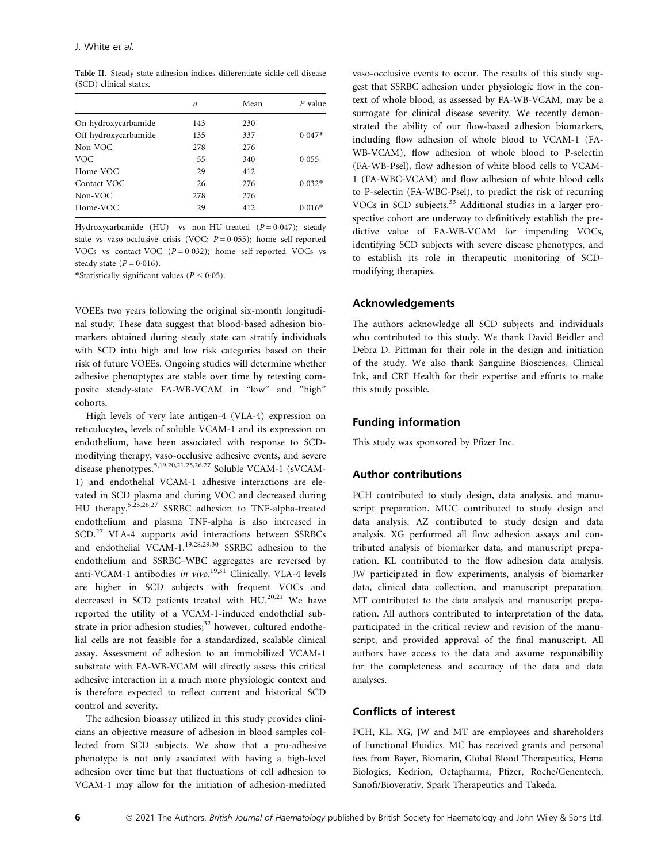Table II. Steady-state adhesion indices differentiate sickle cell disease (SCD) clinical states.

|                      | n   | Mean | $P$ value |
|----------------------|-----|------|-----------|
| On hydroxycarbamide  | 143 | 230  |           |
| Off hydroxycarbamide | 135 | 337  | $0.047*$  |
| Non-VOC              | 278 | 276  |           |
| VOC.                 | 55  | 340  | 0.055     |
| Home-VOC             | 29  | 412  |           |
| Contact-VOC          | 26  | 276  | $0.032*$  |
| Non-VOC              | 278 | 276  |           |
| Home-VOC             | 29  | 412  | $0.016*$  |

Hydroxycarbamide (HU)- vs non-HU-treated ( $P = 0.047$ ); steady state vs vaso-occlusive crisis (VOC;  $P = 0.055$ ); home self-reported VOCs vs contact-VOC  $(P = 0.032)$ ; home self-reported VOCs vs steady state  $(P = 0.016)$ .

\*Statistically significant values ( $P < 0.05$ ).

VOEEs two years following the original six-month longitudinal study. These data suggest that blood-based adhesion biomarkers obtained during steady state can stratify individuals with SCD into high and low risk categories based on their risk of future VOEEs. Ongoing studies will determine whether adhesive phenoptypes are stable over time by retesting composite steady-state FA-WB-VCAM in "low" and "high" cohorts.

High levels of very late antigen-4 (VLA-4) expression on reticulocytes, levels of soluble VCAM-1 and its expression on endothelium, have been associated with response to SCDmodifying therapy, vaso-occlusive adhesive events, and severe disease phenotypes.<sup>5,19,20,21,25,26,27</sup> Soluble VCAM-1 (sVCAM-1) and endothelial VCAM-1 adhesive interactions are elevated in SCD plasma and during VOC and decreased during HU therapy.5,25,26,27 SSRBC adhesion to TNF-alpha-treated endothelium and plasma TNF-alpha is also increased in SCD.<sup>27</sup> VLA-4 supports avid interactions between SSRBCs and endothelial VCAM-1.<sup>19,28,29,30</sup> SSRBC adhesion to the endothelium and SSRBC–WBC aggregates are reversed by anti-VCAM-1 antibodies in vivo.<sup>19,31</sup> Clinically, VLA-4 levels are higher in SCD subjects with frequent VOCs and decreased in SCD patients treated with HU.<sup>20,21</sup> We have reported the utility of a VCAM-1-induced endothelial substrate in prior adhesion studies;<sup>32</sup> however, cultured endothelial cells are not feasible for a standardized, scalable clinical assay. Assessment of adhesion to an immobilized VCAM-1 substrate with FA-WB-VCAM will directly assess this critical adhesive interaction in a much more physiologic context and is therefore expected to reflect current and historical SCD control and severity.

The adhesion bioassay utilized in this study provides clinicians an objective measure of adhesion in blood samples collected from SCD subjects. We show that a pro-adhesive phenotype is not only associated with having a high-level adhesion over time but that fluctuations of cell adhesion to VCAM-1 may allow for the initiation of adhesion-mediated vaso-occlusive events to occur. The results of this study suggest that SSRBC adhesion under physiologic flow in the context of whole blood, as assessed by FA-WB-VCAM, may be a surrogate for clinical disease severity. We recently demonstrated the ability of our flow-based adhesion biomarkers, including flow adhesion of whole blood to VCAM-1 (FA-WB-VCAM), flow adhesion of whole blood to P-selectin (FA-WB-Psel), flow adhesion of white blood cells to VCAM-1 (FA-WBC-VCAM) and flow adhesion of white blood cells to P-selectin (FA-WBC-Psel), to predict the risk of recurring VOCs in SCD subjects.<sup>33</sup> Additional studies in a larger prospective cohort are underway to definitively establish the predictive value of FA-WB-VCAM for impending VOCs, identifying SCD subjects with severe disease phenotypes, and to establish its role in therapeutic monitoring of SCDmodifying therapies.

## Acknowledgements

The authors acknowledge all SCD subjects and individuals who contributed to this study. We thank David Beidler and Debra D. Pittman for their role in the design and initiation of the study. We also thank Sanguine Biosciences, Clinical Ink, and CRF Health for their expertise and efforts to make this study possible.

## Funding information

This study was sponsored by Pfizer Inc.

## Author contributions

PCH contributed to study design, data analysis, and manuscript preparation. MUC contributed to study design and data analysis. AZ contributed to study design and data analysis. XG performed all flow adhesion assays and contributed analysis of biomarker data, and manuscript preparation. KL contributed to the flow adhesion data analysis. JW participated in flow experiments, analysis of biomarker data, clinical data collection, and manuscript preparation. MT contributed to the data analysis and manuscript preparation. All authors contributed to interpretation of the data, participated in the critical review and revision of the manuscript, and provided approval of the final manuscript. All authors have access to the data and assume responsibility for the completeness and accuracy of the data and data analyses.

## Conflicts of interest

PCH, KL, XG, JW and MT are employees and shareholders of Functional Fluidics. MC has received grants and personal fees from Bayer, Biomarin, Global Blood Therapeutics, Hema Biologics, Kedrion, Octapharma, Pfizer, Roche/Genentech, Sanofi/Bioverativ, Spark Therapeutics and Takeda.